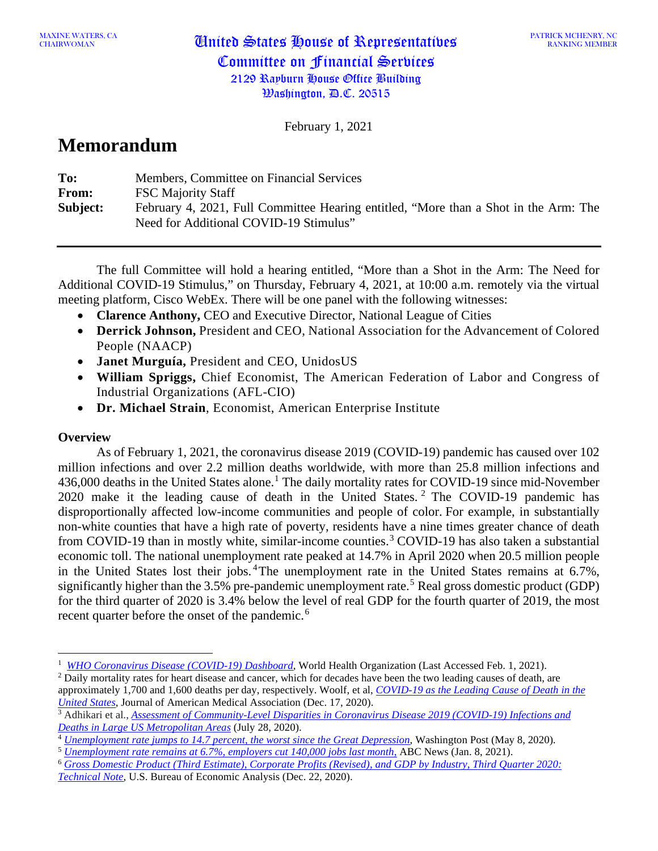PATRICK MCHENRY, NC RANKING MEMBER

February 1, 2021

# **Memorandum**

| To:      | Members, Committee on Financial Services                                                                                       |
|----------|--------------------------------------------------------------------------------------------------------------------------------|
| From:    | <b>FSC Majority Staff</b>                                                                                                      |
| Subject: | February 4, 2021, Full Committee Hearing entitled, "More than a Shot in the Arm: The<br>Need for Additional COVID-19 Stimulus" |

The full Committee will hold a hearing entitled, "More than a Shot in the Arm: The Need for Additional COVID-19 Stimulus," on Thursday, February 4, 2021, at 10:00 a.m. remotely via the virtual meeting platform, Cisco WebEx. There will be one panel with the following witnesses:

- **Clarence Anthony,** CEO and Executive Director, National League of Cities
- **Derrick Johnson,** President and CEO, National Association for the Advancement of Colored People (NAACP)
- **Janet Murguía,** President and CEO, UnidosUS
- **William Spriggs,** Chief Economist, The American Federation of Labor and Congress of Industrial Organizations (AFL-CIO)
- **Dr. Michael Strain**, Economist, American Enterprise Institute

# **Overview**

As of February 1, 2021, the coronavirus disease 2019 (COVID-19) pandemic has caused over 102 million infections and over 2.2 million deaths worldwide, with more than 25.8 million infections and 436,000 deaths in the United States alone.<sup>[1](#page-0-0)</sup> The daily mortality rates for COVID-19 since mid-November 2020 make it the leading cause of death in the United States. [2](#page-0-1) The COVID-19 pandemic has disproportionally affected low-income communities and people of color. For example, in substantially non-white counties that have a high rate of poverty, residents have a nine times greater chance of death from COVID-19 than in mostly white, similar-income counties.<sup>[3](#page-0-2)</sup> COVID-19 has also taken a substantial economic toll. The national unemployment rate peaked at 14.7% in April 2020 when 20.5 million people in the United States lost their jobs. [4](#page-0-3)The unemployment rate in the United States remains at 6.7%, significantly higher than the 3.[5](#page-0-4)% pre-pandemic unemployment rate.<sup>5</sup> Real gross domestic product (GDP) for the third quarter of 2020 is 3.4% below the level of real GDP for the fourth quarter of 2019, the most recent quarter before the onset of the pandemic.<sup>[6](#page-0-5)</sup>

<span id="page-0-5"></span><span id="page-0-4"></span><sup>6</sup> *[Gross Domestic Product \(Third Estimate\), Corporate Profits \(Revised\), and GDP by Industry, Third Quarter 2020:](https://www.bea.gov/sites/default/files/2020-12/tech3q20_3rd_0.pdf)  [Technical Note](https://www.bea.gov/sites/default/files/2020-12/tech3q20_3rd_0.pdf)*, U.S. Bureau of Economic Analysis (Dec. 22, 2020).

<span id="page-0-0"></span><sup>&</sup>lt;sup>1</sup> [WHO Coronavirus Disease \(COVID-19\) Dashboard,](https://covid19.who.int/) World Health Organization (Last Accessed Feb. 1, 2021).

<span id="page-0-1"></span><sup>&</sup>lt;sup>2</sup> Daily mortality rates for heart disease and cancer, which for decades have been the two leading causes of death, are approximately 1,700 and 1,600 deaths per day, respectively. Woolf, et al, *[COVID-19 as the Leading Cause of Death in the](https://jamanetwork.com/journals/jama/fullarticle/2774465)  [United States](https://jamanetwork.com/journals/jama/fullarticle/2774465)*, Journal of American Medical Association (Dec. 17, 2020).

<span id="page-0-2"></span><sup>3</sup> Adhikari et al., *[Assessment of Community-Level Disparities in Coronavirus Disease 2019 \(COVID-19\) Infections and](https://jamanetwork.com/journals/jamanetworkopen/fullarticle/2768723)  [Deaths in Large US Metropolitan Areas](https://jamanetwork.com/journals/jamanetworkopen/fullarticle/2768723)* (July 28, 2020).

<span id="page-0-3"></span><sup>4</sup> *[Unemployment rate jumps to 14.7 percent, the worst since the Great Depression](https://www.washingtonpost.com/business/2020/05/08/april-2020-jobs-report/)*, Washington Post (May 8, 2020). <sup>5</sup> *[Unemployment rate remains at 6.7%, employers cut 140,000 jobs last month](https://abcnews.go.com/Business/unemployment-rate-remains-67-employers-cut-140000-jobs/story?id=75109266)*, ABC News (Jan. 8, 2021).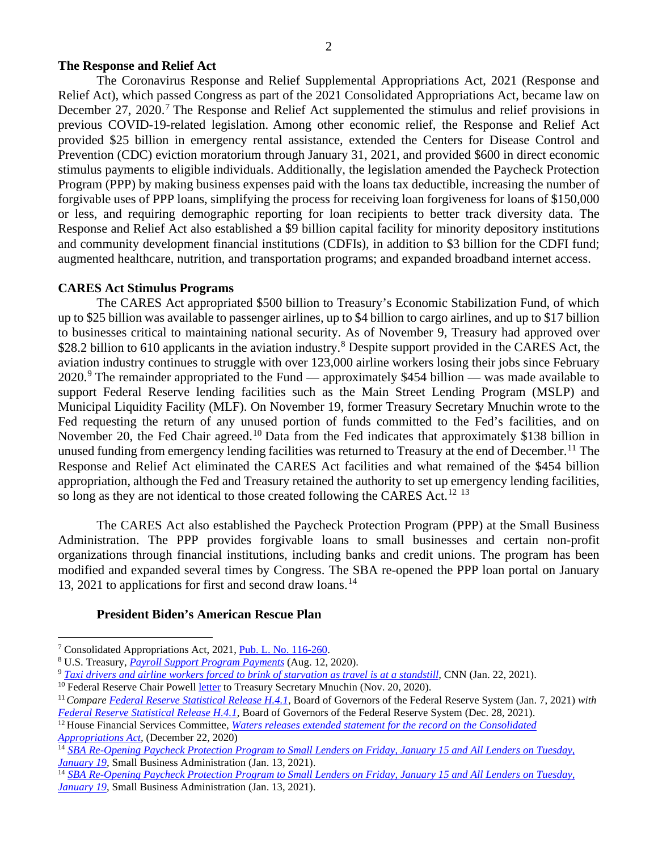# **The Response and Relief Act**

The Coronavirus Response and Relief Supplemental Appropriations Act, 2021 (Response and Relief Act), which passed Congress as part of the 2021 Consolidated Appropriations Act, became law on December 2[7](#page-1-0), 2020.<sup>7</sup> The Response and Relief Act supplemented the stimulus and relief provisions in previous COVID-19-related legislation. Among other economic relief, the Response and Relief Act provided \$25 billion in emergency rental assistance, extended the Centers for Disease Control and Prevention (CDC) eviction moratorium through January 31, 2021, and provided \$600 in direct economic stimulus payments to eligible individuals. Additionally, the legislation amended the Paycheck Protection Program (PPP) by making business expenses paid with the loans tax deductible, increasing the number of forgivable uses of PPP loans, simplifying the process for receiving loan forgiveness for loans of \$150,000 or less, and requiring demographic reporting for loan recipients to better track diversity data. The Response and Relief Act also established a \$9 billion capital facility for minority depository institutions and community development financial institutions (CDFIs), in addition to \$3 billion for the CDFI fund; augmented healthcare, nutrition, and transportation programs; and expanded broadband internet access.

#### **CARES Act Stimulus Programs**

The CARES Act appropriated \$500 billion to Treasury's Economic Stabilization Fund, of which up to \$25 billion was available to passenger airlines, up to \$4 billion to cargo airlines, and up to \$17 billion to businesses critical to maintaining national security. As of November 9, Treasury had approved over \$2[8](#page-1-1).2 billion to 610 applicants in the aviation industry.<sup>8</sup> Despite support provided in the CARES Act, the aviation industry continues to struggle with over 123,000 airline workers losing their jobs since February 2020.<sup>[9](#page-1-2)</sup> The remainder appropriated to the Fund — approximately \$454 billion — was made available to support Federal Reserve lending facilities such as the Main Street Lending Program (MSLP) and Municipal Liquidity Facility (MLF). On November 19, former Treasury Secretary Mnuchin wrote to the Fed requesting the return of any unused portion of funds committed to the Fed's facilities, and on November 20, the Fed Chair agreed.<sup>[10](#page-1-3)</sup> Data from the Fed indicates that approximately \$138 billion in unused funding from emergency lending facilities was returned to Treasury at the end of December.<sup>[11](#page-1-4)</sup> The Response and Relief Act eliminated the CARES Act facilities and what remained of the \$454 billion appropriation, although the Fed and Treasury retained the authority to set up emergency lending facilities, so long as they are not identical to those created following the CARES Act.<sup>[12](#page-1-5) [13](#page-1-6)</sup>

The CARES Act also established the Paycheck Protection Program (PPP) at the Small Business Administration. The PPP provides forgivable loans to small businesses and certain non-profit organizations through financial institutions, including banks and credit unions. The program has been modified and expanded several times by Congress. The SBA re-opened the PPP loan portal on January 13, 2021 to applications for first and second draw loans.<sup>[14](#page-1-7)</sup>

# **President Biden's American Rescue Plan**

<sup>7</sup> Consolidated Appropriations Act, 2021, Pub. [L. No. 116-260.](https://www.congress.gov/bill/116th-congress/house-bill/133/text)

<span id="page-1-0"></span><sup>8</sup> U.S. Treasury, *[Payroll Support Program Payments](https://home.treasury.gov/policy-issues/cares/preserving-jobs-for-american-industry/payroll-support-program-payments)* (Aug. 12, 2020).

<span id="page-1-1"></span><sup>9</sup> *[Taxi drivers and airline workers forced to brink of starvation as travel is at a standstill](https://www.cnn.com/2021/01/22/business/airline-taxi-workers-pandemic/index.html)*, CNN (Jan. 22, 2021).

<span id="page-1-2"></span><sup>&</sup>lt;sup>10</sup> Federal Reserve Chair Powell [letter](https://www.federalreserve.gov/foia/files/mnuchin-letter-20201120.pdf) to Treasury Secretary Mnuchin (Nov. 20, 2020).

<span id="page-1-4"></span><span id="page-1-3"></span><sup>11</sup>*Compare [Federal Reserve Statistical Release H.4.1](https://www.federalreserve.gov/releases/h41/20210107/)*, Board of Governors of the Federal Reserve System (Jan. 7, 2021) *with Federal [Reserve Statistical Release H.4.1](https://www.federalreserve.gov/releases/h41/20201228/)*, Board of Governors of the Federal Reserve System (Dec. 28, 2021).

<span id="page-1-5"></span><sup>12</sup> House Financial Services Committee, *[Waters releases extended statement for the record on the Consolidated](https://financialservices.house.gov/news/documentsingle.aspx?DocumentID=407075)  [Appropriations Act,](https://financialservices.house.gov/news/documentsingle.aspx?DocumentID=407075)* (December 22, 2020)

<sup>14</sup> *[SBA Re-Opening Paycheck Protection Program to Small Lenders on Friday, January 15 and All Lenders on Tuesday,](https://www.sba.gov/article/2021/jan/13/sba-re-opening-paycheck-protection-program-small-lenders-friday-january-15-all-lenders-tuesday)  [January](https://www.sba.gov/article/2021/jan/13/sba-re-opening-paycheck-protection-program-small-lenders-friday-january-15-all-lenders-tuesday) 19*, Small Business Administration (Jan. 13, 2021).

<span id="page-1-7"></span><span id="page-1-6"></span><sup>14</sup> *[SBA Re-Opening Paycheck Protection Program to Small Lenders on Friday, January 15 and All Lenders on Tuesday,](https://www.sba.gov/article/2021/jan/13/sba-re-opening-paycheck-protection-program-small-lenders-friday-january-15-all-lenders-tuesday)  [January](https://www.sba.gov/article/2021/jan/13/sba-re-opening-paycheck-protection-program-small-lenders-friday-january-15-all-lenders-tuesday) 19*, Small Business Administration (Jan. 13, 2021).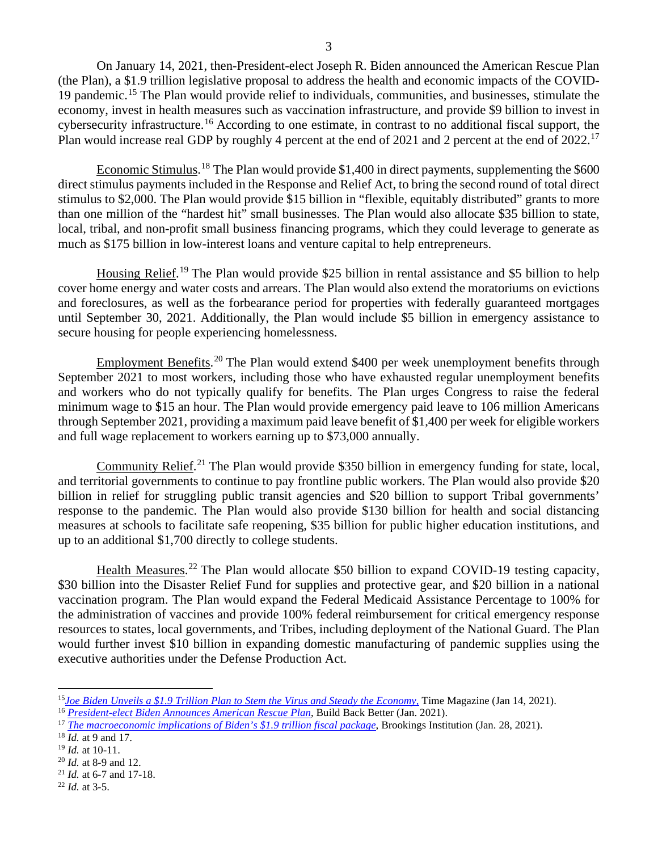On January 14, 2021, then-President-elect Joseph R. Biden announced the American Rescue Plan (the Plan), a \$1.9 trillion legislative proposal to address the health and economic impacts of the COVID-19 pandemic. [15](#page-2-0) The Plan would provide relief to individuals, communities, and businesses, stimulate the economy, invest in health measures such as vaccination infrastructure, and provide \$9 billion to invest in cybersecurity infrastructure.<sup>[16](#page-2-1)</sup> According to one estimate, in contrast to no additional fiscal support, the Plan would increase real GDP by roughly 4 percent at the end of 2021 and 2 percent at the end of 2022.<sup>[17](#page-2-2)</sup>

Economic Stimulus.<sup>[18](#page-2-3)</sup> The Plan would provide \$1,400 in direct payments, supplementing the \$600 direct stimulus payments included in the Response and Relief Act, to bring the second round of total direct stimulus to \$2,000. The Plan would provide \$15 billion in "flexible, equitably distributed" grants to more than one million of the "hardest hit" small businesses. The Plan would also allocate \$35 billion to state, local, tribal, and non-profit small business financing programs, which they could leverage to generate as much as \$175 billion in low-interest loans and venture capital to help entrepreneurs.

Housing Relief.<sup>[19](#page-2-4)</sup> The Plan would provide \$25 billion in rental assistance and \$5 billion to help cover home energy and water costs and arrears. The Plan would also extend the moratoriums on evictions and foreclosures, as well as the forbearance period for properties with federally guaranteed mortgages until September 30, 2021. Additionally, the Plan would include \$5 billion in emergency assistance to secure housing for people experiencing homelessness.

Employment Benefits.<sup>[20](#page-2-5)</sup> The Plan would extend \$400 per week unemployment benefits through September 2021 to most workers, including those who have exhausted regular unemployment benefits and workers who do not typically qualify for benefits. The Plan urges Congress to raise the federal minimum wage to \$15 an hour. The Plan would provide emergency paid leave to 106 million Americans through September 2021, providing a maximum paid leave benefit of \$1,400 per week for eligible workers and full wage replacement to workers earning up to \$73,000 annually.

Community Relief.<sup>[21](#page-2-6)</sup> The Plan would provide \$350 billion in emergency funding for state, local, and territorial governments to continue to pay frontline public workers. The Plan would also provide \$20 billion in relief for struggling public transit agencies and \$20 billion to support Tribal governments' response to the pandemic. The Plan would also provide \$130 billion for health and social distancing measures at schools to facilitate safe reopening, \$35 billion for public higher education institutions, and up to an additional \$1,700 directly to college students.

Health Measures.<sup>[22](#page-2-7)</sup> The Plan would allocate \$50 billion to expand COVID-19 testing capacity, \$30 billion into the Disaster Relief Fund for supplies and protective gear, and \$20 billion in a national vaccination program. The Plan would expand the Federal Medicaid Assistance Percentage to 100% for the administration of vaccines and provide 100% federal reimbursement for critical emergency response resources to states, local governments, and Tribes, including deployment of the National Guard. The Plan would further invest \$10 billion in expanding domestic manufacturing of pandemic supplies using the executive authorities under the Defense Production Act.

<span id="page-2-0"></span><sup>15</sup>*[Joe Biden Unveils a \\$1.9 Trillion Plan to Stem the Virus and Steady the Economy](https://time.com/5929988/joe-biden-american-rescue-plan-coronavirus/)*, Time Magazine (Jan 14, 2021).

<span id="page-2-1"></span><sup>16</sup> *[President-elect Biden Announces American Rescue Plan](https://webcache.googleusercontent.com/search?q=cache:AVRxvSP6XowJ:https://buildbackbetter.gov/wp-content/uploads/2021/01/COVID_Relief-Package-Fact-Sheet.pdf+&cd=1&hl=en&ct=clnk&gl=us)*, Build Back Better (Jan. 2021).

<span id="page-2-2"></span><sup>17</sup> *[The macroeconomic implications of Biden's \\$1.9 trillion fiscal package](https://www.brookings.edu/blog/up-front/2021/01/28/the-macroeconomic-implications-of-bidens-1-9-trillion-fiscal-package/)*, Brookings Institution (Jan. 28, 2021).

<span id="page-2-3"></span><sup>18</sup> *Id.* at 9 and 17.

<span id="page-2-4"></span><sup>19</sup> *Id.* at 10-11.

<span id="page-2-5"></span><sup>20</sup> *Id.* at 8-9 and 12.

<span id="page-2-6"></span><sup>21</sup> *Id.* at 6-7 and 17-18.

<span id="page-2-7"></span><sup>22</sup> *Id.* at 3-5.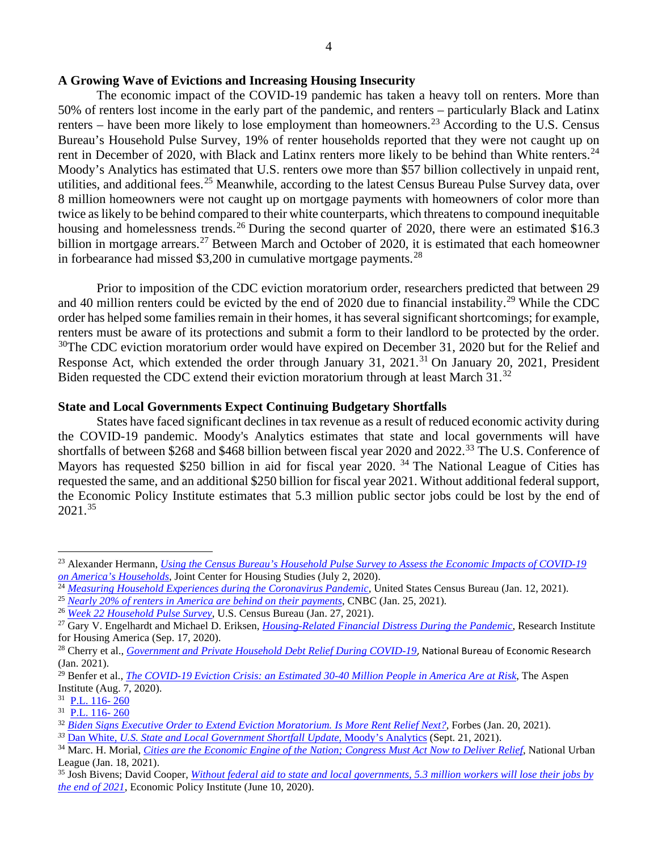## **A Growing Wave of Evictions and Increasing Housing Insecurity**

The economic impact of the COVID-19 pandemic has taken a heavy toll on renters. More than 50% of renters lost income in the early part of the pandemic, and renters – particularly Black and Latinx renters – have been more likely to lose employment than homeowners.<sup>[23](#page-3-0)</sup> According to the U.S. Census Bureau's Household Pulse Survey, 19% of renter households reported that they were not caught up on rent in December of 2020, with Black and Latinx renters more likely to be behind than White renters.<sup>[24](#page-3-1)</sup> Moody's Analytics has estimated that U.S. renters owe more than \$57 billion collectively in unpaid rent, utilities, and additional fees.<sup>[25](#page-3-2)</sup> Meanwhile, according to the latest Census Bureau Pulse Survey data, over 8 million homeowners were not caught up on mortgage payments with homeowners of color more than twice as likely to be behind compared to their white counterparts, which threatens to compound inequitable housing and homelessness trends.<sup>[26](#page-3-3)</sup> During the second quarter of 2020, there were an estimated \$16.3 billion in mortgage arrears.<sup>[27](#page-3-4)</sup> Between March and October of 2020, it is estimated that each homeowner in forbearance had missed \$3,200 in cumulative mortgage payments.<sup>[28](#page-3-5)</sup>

Prior to imposition of the CDC eviction moratorium order, researchers predicted that between 29 and 40 million renters could be evicted by the end of 2020 due to financial instability.<sup>[29](#page-3-6)</sup> While the CDC order has helped some families remain in their homes, it has several significant shortcomings; for example, renters must be aware of its protections and submit a form to their landlord to be protected by the order. <sup>30</sup>The CDC eviction moratorium order would have expired on December 31, 2020 but for the Relief and Response Act, which extended the order through January [31](#page-3-8),  $2021<sup>31</sup>$  On January 20, 2021, President Biden requested the CDC extend their eviction moratorium through at least March 31.<sup>[32](#page-3-9)</sup>

### **State and Local Governments Expect Continuing Budgetary Shortfalls**

States have faced significant declines in tax revenue as a result of reduced economic activity during the COVID-19 pandemic. Moody's Analytics estimates that state and local governments will have shortfalls of between \$268 and \$468 billion between fiscal year 2020 and 2022.[33](#page-3-10) The U.S. Conference of Mayors has requested \$250 billion in aid for fiscal year 2020.<sup>[34](#page-3-11)</sup> The National League of Cities has requested the same, and an additional \$250 billion for fiscal year 2021. Without additional federal support, the Economic Policy Institute estimates that 5.3 million public sector jobs could be lost by the end of 2021.[35](#page-3-12)

<span id="page-3-0"></span><sup>23</sup> Alexander Hermann, *[Using the Census Bureau's Household Pulse Survey to Assess the Economic Impacts of COVID-19](https://www.jchs.harvard.edu/blog/using-the-census-bureaus-household-pulse-survey-to-assess-the-economic-impacts-of-covid-19-on-americas-households)  on [America's Households](https://www.jchs.harvard.edu/blog/using-the-census-bureaus-household-pulse-survey-to-assess-the-economic-impacts-of-covid-19-on-americas-households)*, Joint Center for Housing Studies (July 2, 2020).

<span id="page-3-1"></span><sup>&</sup>lt;sup>24</sup> [Measuring Household Experiences during the Coronavirus Pandemic,](https://www.census.gov/data/experimental-data-products/household-pulse-survey.html) United States Census Bureau (Jan. 12, 2021).<br><sup>25</sup> Nearly 20% of renters in America are behind on their payments, CNBC (Jan. 25, 2021).

<span id="page-3-3"></span><span id="page-3-2"></span><sup>&</sup>lt;sup>26</sup> *[Week 22 Household Pulse Survey](https://www.census.gov/data/tables/2021/demo/hhp/hhp22.html#tables)*[,](https://www.cnbc.com/2021/01/25/nearly-20percent-of-renters-in-america-are-behind-on-their-payments.html?__source=sharebar%7Ctwitter&par=sharebar) U.S. Census Bureau (Jan. 27, 2021).

<span id="page-3-4"></span><sup>27</sup> Gary V. Engelhardt and Michael D. Eriksen, *[Housing-Related Financial Distress During the Pandemic](https://papers.ssrn.com/sol3/papers.cfm?abstract_id=3694767)*, Research Institute for Housing America (Sep. 17, 2020).

<span id="page-3-5"></span><sup>&</sup>lt;sup>28</sup> Cherry et al., *[Government and Private Household Debt Relief During COVID-19](https://www.nber.org/system/files/working_papers/w28357/w28357.pdf)*, National Bureau of Economic Research (Jan. 2021).

<span id="page-3-6"></span><sup>29</sup> Benfer et al., *[The COVID-19 Eviction Crisis: an Estimated 30-40 Million People in America Are at Risk](https://www.aspeninstitute.org/blog-posts/the-covid-19-eviction-crisis-an-estimated-30-40-million-people-in-america-are-at-risk/)*, The Aspen Institute (Aug. 7, 2020). 31 P.L. 116- <sup>260</sup>

<span id="page-3-7"></span>

<span id="page-3-8"></span><sup>31</sup> P.L. 116- 260

<span id="page-3-9"></span><sup>32</sup> *[Biden Signs Executive Order to Extend Eviction Moratorium. Is More Rent Relief Next?](https://www.forbes.com/advisor/personal-finance/biden-plan-eviction-moratorium-rent-relief/)*, Forbes (Jan. 20, 2021).

<span id="page-3-10"></span>*<sup>33</sup>* Dan White, *[U.S. State and Local Government Shortfall Update,](https://int.nyt.com/data/documenttools/moody-s-09-21/9ae2386e54785870/full.pdf)* Moody's Analytics (Sept. 21, 2021).

<span id="page-3-11"></span><sup>34</sup> Marc. H. Morial, *[Cities are the Economic Engine of the Nation; Congress Must Act Now to Deliver Relief](https://nul.org/news/cities-are-economic-engine-nation-congress-must-act-now-deliver-relief)*, National Urban League (Jan. 18, 2021).

<span id="page-3-12"></span><sup>35</sup> Josh Bivens; David Cooper, *[Without federal aid to state and local governments, 5.3 million workers will lose their jobs by](https://www.epi.org/blog/without-federal-aid-to-state-and-local-governments-5-3-million-workers-will-likely-lose-their-jobs-by-the-end-of-2021-see-estimated-job-losses-by-state/)  [the end of 2021](https://www.epi.org/blog/without-federal-aid-to-state-and-local-governments-5-3-million-workers-will-likely-lose-their-jobs-by-the-end-of-2021-see-estimated-job-losses-by-state/)*, Economic Policy Institute (June 10, 2020).